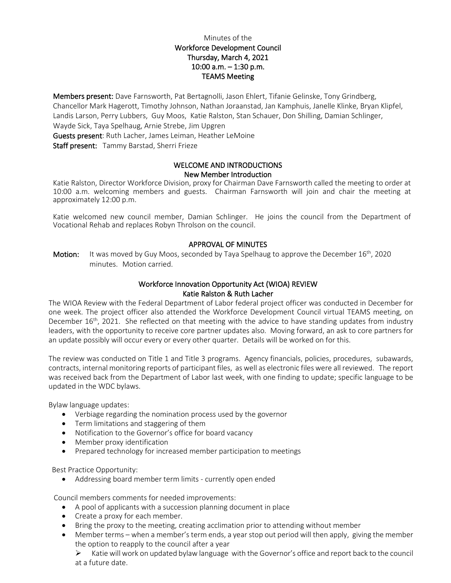# Minutes of the Workforce Development Council Thursday, March 4, 2021 10:00 a.m. – 1:30 p.m. TEAMS Meeting

Members present: Dave Farnsworth, Pat Bertagnolli, Jason Ehlert, Tifanie Gelinske, Tony Grindberg, Chancellor Mark Hagerott, Timothy Johnson, Nathan Joraanstad, Jan Kamphuis, Janelle Klinke, Bryan Klipfel, Landis Larson, Perry Lubbers, Guy Moos, Katie Ralston, Stan Schauer, Don Shilling, Damian Schlinger, Wayde Sick, Taya Spelhaug, Arnie Strebe, Jim Upgren Guests present: Ruth Lacher, James Leiman, Heather LeMoine Staff present: Tammy Barstad, Sherri Frieze

#### WELCOME AND INTRODUCTIONS New Member Introduction

Katie Ralston, Director Workforce Division, proxy for Chairman Dave Farnsworth called the meeting to order at 10:00 a.m. welcoming members and guests. Chairman Farnsworth will join and chair the meeting at approximately 12:00 p.m.

Katie welcomed new council member, Damian Schlinger. He joins the council from the Department of Vocational Rehab and replaces Robyn Throlson on the council.

# APPROVAL OF MINUTES

**Motion:** It was moved by Guy Moos, seconded by Taya Spelhaug to approve the December  $16^{th}$ , 2020 minutes. Motion carried.

## Workforce Innovation Opportunity Act (WIOA) REVIEW Katie Ralston & Ruth Lacher

The WIOA Review with the Federal Department of Labor federal project officer was conducted in December for one week. The project officer also attended the Workforce Development Council virtual TEAMS meeting, on December 16<sup>th</sup>, 2021. She reflected on that meeting with the advice to have standing updates from industry leaders, with the opportunity to receive core partner updates also. Moving forward, an ask to core partners for an update possibly will occur every or every other quarter. Details will be worked on for this.

The review was conducted on Title 1 and Title 3 programs. Agency financials, policies, procedures, subawards, contracts, internal monitoring reports of participant files, as well as electronic files were all reviewed. The report was received back from the Department of Labor last week, with one finding to update; specific language to be updated in the WDC bylaws.

Bylaw language updates:

- Verbiage regarding the nomination process used by the governor
- Term limitations and staggering of them
- Notification to the Governor's office for board vacancy
- Member proxy identification
- Prepared technology for increased member participation to meetings

Best Practice Opportunity:

• Addressing board member term limits - currently open ended

Council members comments for needed improvements:

- A pool of applicants with a succession planning document in place
- Create a proxy for each member.
- Bring the proxy to the meeting, creating acclimation prior to attending without member
- Member terms when a member's term ends, a year stop out period will then apply, giving the member the option to reapply to the council after a year

 $\triangleright$  Katie will work on updated bylaw language with the Governor's office and report back to the council at a future date.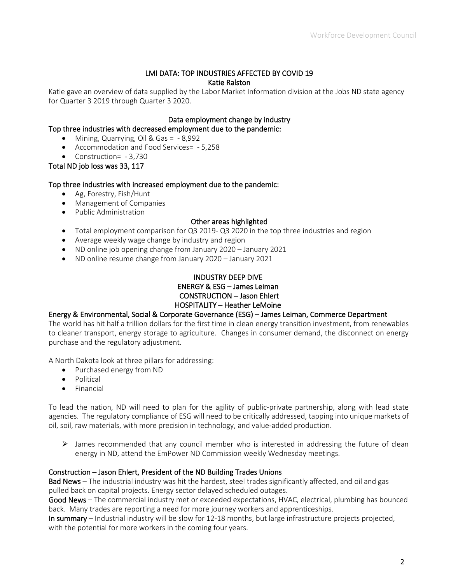### LMI DATA: TOP INDUSTRIES AFFECTED BY COVID 19 Katie Ralston

Katie gave an overview of data supplied by the Labor Market Information division at the Jobs ND state agency for Quarter 3 2019 through Quarter 3 2020.

#### Data employment change by industry

Top three industries with decreased employment due to the pandemic:

- Mining, Quarrying, Oil & Gas = 8,992
- Accommodation and Food Services= 5,258
- Construction= 3,730

Total ND job loss was 33, 117

#### Top three industries with increased employment due to the pandemic:

- Ag, Forestry, Fish/Hunt
- Management of Companies
- Public Administration

#### Other areas highlighted

- Total employment comparison for Q3 2019- Q3 2020 in the top three industries and region
- Average weekly wage change by industry and region
- ND online job opening change from January 2020 January 2021
- ND online resume change from January 2020 January 2021

# INDUSTRY DEEP DIVE ENERGY & ESG – James Leiman CONSTRUCTION – Jason Ehlert HOSPITALITY – Heather LeMoine

#### Energy & Environmental, Social & Corporate Governance (ESG) – James Leiman, Commerce Department

The world has hit half a trillion dollars for the first time in clean energy transition investment, from renewables to cleaner transport, energy storage to agriculture. Changes in consumer demand, the disconnect on energy purchase and the regulatory adjustment.

A North Dakota look at three pillars for addressing:

- Purchased energy from ND
- Political
- Financial

To lead the nation, ND will need to plan for the agility of public-private partnership, along with lead state agencies. The regulatory compliance of ESG will need to be critically addressed, tapping into unique markets of oil, soil, raw materials, with more precision in technology, and value-added production.

 $\triangleright$  James recommended that any council member who is interested in addressing the future of clean energy in ND, attend the EmPower ND Commission weekly Wednesday meetings.

#### Construction – Jason Ehlert, President of the ND Building Trades Unions

Bad News – The industrial industry was hit the hardest, steel trades significantly affected, and oil and gas pulled back on capital projects. Energy sector delayed scheduled outages.

Good News – The commercial industry met or exceeded expectations, HVAC, electrical, plumbing has bounced back. Many trades are reporting a need for more journey workers and apprenticeships.

In summary – Industrial industry will be slow for 12-18 months, but large infrastructure projects projected, with the potential for more workers in the coming four years.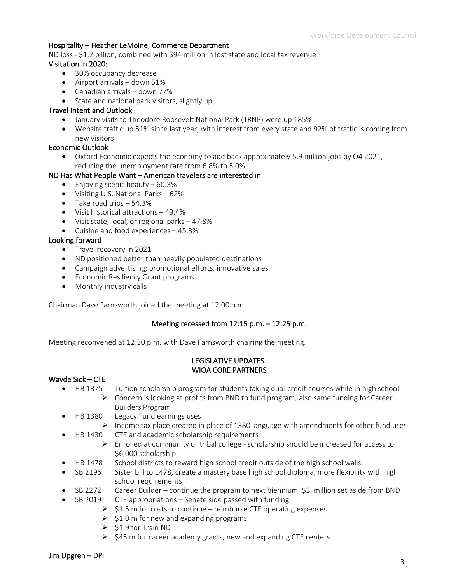## Hospitality – Heather LeMoine, Commerce Department

ND loss - \$1.2 billion, combined with \$94 million in lost state and local tax revenue Visitation in 2020:

- 30% occupancy decrease
- Airport arrivals down 51%
- Canadian arrivals down 77%
- State and national park visitors, slightly up

## Travel Intent and Outlook

- January visits to Theodore Roosevelt National Park (TRNP) were up 185%
- Website traffic up 51% since last year, with interest from every state and 92% of traffic is coming from new visitors

## Economic Outlook

• Oxford Economic expects the economy to add back approximately 5.9 million jobs by Q4 2021, reducing the unemployment rate from 6.8% to 5.0%

## ND Has What People Want – American travelers are interested in:

- Enjoying scenic beauty  $-60.3\%$
- Visiting U.S. National Parks 62%
- Take road trips 54.3%
- Visit historical attractions 49.4%
- Visit state, local, or regional parks 47.8%
- Cuisine and food experiences 45.3%

#### Looking forward

- Travel recovery in 2021
- ND positioned better than heavily populated destinations
- Campaign advertising; promotional efforts, innovative sales
- Economic Resiliency Grant programs
- Monthly industry calls

Chairman Dave Farnsworth joined the meeting at 12:00 p.m.

#### Meeting recessed from 12:15 p.m. – 12:25 p.m.

Meeting reconvened at 12:30 p.m. with Dave Farnsworth chairing the meeting.

#### LEGISLATIVE UPDATES WIOA CORE PARTNERS

#### Wayde Sick – CTE

- HB 1375 Tuition scholarship program for students taking dual-credit courses while in high school  $\triangleright$  Concern is looking at profits from BND to fund program, also same funding for Career Builders Program
- HB 1380 Legacy Fund earnings uses
	- $\triangleright$  Income tax place created in place of 1380 language with amendments for other fund uses • HB 1430 CTE and academic scholarship requirements
		- $\triangleright$  Enrolled at community or tribal college scholarship should be increased for access to \$6,000 scholarship
- HB 1478 School districts to reward high school credit outside of the high school walls
- SB 2196 Sister bill to 1478, create a mastery base high school diploma, more flexibility with high school requirements
- SB 2272 Career Builder continue the program to next biennium, \$3 million set aside from BND
- SB 2019 CTE appropriations Senate side passed with funding:
	- $\geq$  \$1.5 m for costs to continue reimburse CTE operating expenses
	- $\geq$  \$1.0 m for new and expanding programs
	- $\geqslant$  \$1.9 for Train ND
	- $\geq$  \$45 m for career academy grants, new and expanding CTE centers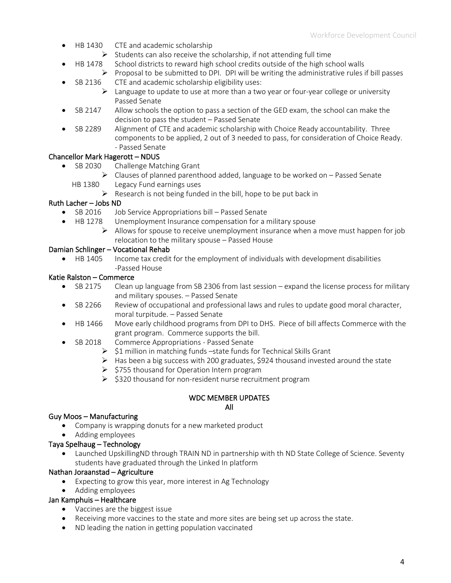- HB 1430 CTE and academic scholarship
	- $\triangleright$  Students can also receive the scholarship, if not attending full time
- HB 1478 School districts to reward high school credits outside of the high school walls
	- $\triangleright$  Proposal to be submitted to DPI. DPI will be writing the administrative rules if bill passes SB 2136 CTE and academic scholarship eligibility uses:
		- $\triangleright$  Language to update to use at more than a two year or four-year college or university Passed Senate
- SB 2147 Allow schools the option to pass a section of the GED exam, the school can make the decision to pass the student – Passed Senate
- SB 2289 Alignment of CTE and academic scholarship with Choice Ready accountability. Three components to be applied, 2 out of 3 needed to pass, for consideration of Choice Ready. - Passed Senate

# Chancellor Mark Hagerott – NDUS

- SB 2030 Challenge Matching Grant
	- $\triangleright$  Clauses of planned parenthood added, language to be worked on Passed Senate HB 1380 Legacy Fund earnings uses
		- $\triangleright$  Research is not being funded in the bill, hope to be put back in

# Ruth Lacher – Jobs ND

- SB 2016 Job Service Appropriations bill Passed Senate
- HB 1278 Unemployment Insurance compensation for a military spouse
	- $\triangleright$  Allows for spouse to receive unemployment insurance when a move must happen for job relocation to the military spouse – Passed House

# Damian Schlinger – Vocational Rehab

• HB 1405 Income tax credit for the employment of individuals with development disabilities -Passed House

# Katie Ralston – Commerce

- SB 2175 Clean up language from SB 2306 from last session expand the license process for military and military spouses. – Passed Senate
- SB 2266 Review of occupational and professional laws and rules to update good moral character, moral turpitude. – Passed Senate
- HB 1466 Move early childhood programs from DPI to DHS. Piece of bill affects Commerce with the grant program. Commerce supports the bill.
- SB 2018 Commerce Appropriations Passed Senate
	- $\triangleright$  \$1 million in matching funds –state funds for Technical Skills Grant
	- $\triangleright$  Has been a big success with 200 graduates, \$924 thousand invested around the state
	- $\geq$  \$755 thousand for Operation Intern program
	- $\geq$  \$320 thousand for non-resident nurse recruitment program

# WDC MEMBER UPDATES

#### All

# Guy Moos – Manufacturing

- Company is wrapping donuts for a new marketed product
- Adding employees

# Taya Spelhaug – Technology

• Launched UpskillingND through TRAIN ND in partnership with th ND State College of Science. Seventy students have graduated through the Linked In platform

# Nathan Joraanstad – Agriculture

- Expecting to grow this year, more interest in Ag Technology
- Adding employees

# Jan Kamphuis – Healthcare

- Vaccines are the biggest issue
- Receiving more vaccines to the state and more sites are being set up across the state.
- ND leading the nation in getting population vaccinated